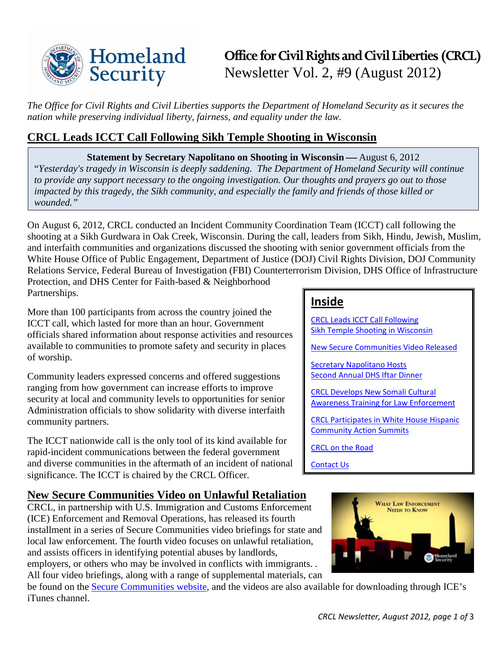

# **Office for Civil Rights and Civil Liberties (CRCL)** Newsletter Vol. 2, #9 (August 2012)

*The Office for Civil Rights and Civil Liberties supports the Department of Homeland Security as it secures the nation while preserving individual liberty, fairness, and equality under the law.* 

# <span id="page-0-0"></span>**CRCL Leads ICCT Call Following Sikh Temple Shooting in Wisconsin**

**Statement by Secretary Napolitano on Shooting in Wisconsin — August 6, 2012** "*Yesterday's tragedy in Wisconsin is deeply saddening. The Department of Homeland Security will continue to provide any support necessary to the ongoing investigation. Our thoughts and prayers go out to those impacted by this tragedy, the Sikh community, and especially the family and friends of those killed or wounded."*

On August 6, 2012, CRCL conducted an Incident Community Coordination Team (ICCT) call following the shooting at a Sikh Gurdwara in Oak Creek, Wisconsin. During the call, leaders from Sikh, Hindu, Jewish, Muslim, and interfaith communities and organizations discussed the shooting with senior government officials from the White House Office of Public Engagement, Department of Justice (DOJ) Civil Rights Division, DOJ Community Relations Service, Federal Bureau of Investigation (FBI) Counterterrorism Division, DHS Office of Infrastructure Protection, and DHS Center for Faith-based & Neighborhood Partnerships.

More than 100 participants from across the country joined the ICCT call, which lasted for more than an hour. Government officials shared information about response activities and resources available to communities to promote safety and security in places of worship.

Community leaders expressed concerns and offered suggestions ranging from how government can increase efforts to improve security at local and community levels to opportunities for senior Administration officials to show solidarity with diverse interfaith community partners.

The ICCT nationwide call is the only tool of its kind available for rapid-incident communications between the federal government and diverse communities in the aftermath of an incident of national significance. The ICCT is chaired by the CRCL Officer.

# <span id="page-0-1"></span>**New Secure Communities Video on Unlawful Retaliation**

CRCL, in partnership with U.S. Immigration and Customs Enforcement (ICE) Enforcement and Removal Operations, has released its fourth installment in a series of Secure Communities video briefings for state and local law enforcement. The fourth video focuses on unlawful retaliation, and assists officers in identifying potential abuses by landlords, employers, or others who may be involved in conflicts with immigrants. . All four video briefings, along with a range of supplemental materials, can

be found on the [Secure Communities website,](http://www.ice.gov/secure_communities/crcl.htm) and the videos are also available for downloading through ICE's iTunes channel.

### **Inside**

[CRCL Leads ICCT Call Following](#page-0-0)  [Sikh Temple Shooting in Wisconsin](#page-0-0)

[New Secure Communities Video Released](#page-0-1)

[Secretary Napolitano Hosts](#page-1-0)  [Second Annual DHS Iftar Dinner](#page-1-0)

[CRCL Develops New Somali Cultural](#page-1-1)  [Awareness Training for Law Enforcement](#page-1-1)

[CRCL Participates in White House Hispanic](#page-1-2)  [Community Action Summits](#page-1-2)

[CRCL on the Road](#page-1-3)

[Contact Us](#page-2-0)

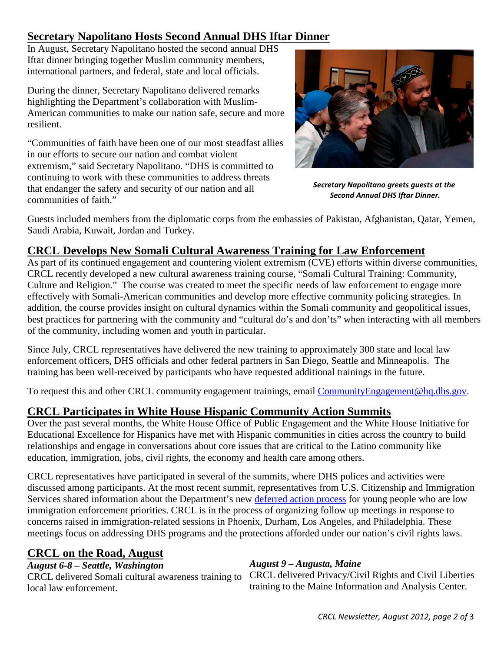## <span id="page-1-0"></span>**Secretary Napolitano Hosts Second Annual DHS Iftar Dinner**

In August, Secretary Napolitano hosted the second annual DHS Iftar dinner bringing together Muslim community members, international partners, and federal, state and local officials.

During the dinner, Secretary Napolitano delivered remarks highlighting the Department's collaboration with Muslim-American communities to make our nation safe, secure and more resilient.

"Communities of faith have been one of our most steadfast allies in our efforts to secure our nation and combat violent extremism," said Secretary Napolitano. "DHS is committed to continuing to work with these communities to address threats that endanger the safety and security of our nation and all communities of faith."



*Secretary Napolitano greets guests at the Second Annual DHS Iftar Dinner.*

Guests included members from the diplomatic corps from the embassies of Pakistan, Afghanistan, Qatar, Yemen, Saudi Arabia, Kuwait, Jordan and Turkey.

## <span id="page-1-1"></span>**CRCL Develops New Somali Cultural Awareness Training for Law Enforcement**

As part of its continued engagement and countering violent extremism (CVE) efforts within diverse communities, CRCL recently developed a new cultural awareness training course, "Somali Cultural Training: Community, Culture and Religion." The course was created to meet the specific needs of law enforcement to engage more effectively with Somali-American communities and develop more effective community policing strategies. In addition, the course provides insight on cultural dynamics within the Somali community and geopolitical issues, best practices for partnering with the community and "cultural do's and don'ts" when interacting with all members of the community, including women and youth in particular.

Since July, CRCL representatives have delivered the new training to approximately 300 state and local law enforcement officers, DHS officials and other federal partners in San Diego, Seattle and Minneapolis. The training has been well-received by participants who have requested additional trainings in the future.

To request this and other CRCL community engagement trainings, email [CommunityEngagement@hq.dhs.gov.](mailto:CommunityEngagement@hq.dhs.gov)

# <span id="page-1-2"></span>**CRCL Participates in White House Hispanic Community Action Summits**

Over the past several months, the White House Office of Public Engagement and the White House Initiative for Educational Excellence for Hispanics have met with Hispanic communities in cities across the country to build relationships and engage in conversations about core issues that are critical to the Latino community like education, immigration, jobs, civil rights, the economy and health care among others.

CRCL representatives have participated in several of the summits, where DHS polices and activities were discussed among participants. At the most recent summit, representatives from U.S. Citizenship and Immigration Services shared information about the Department's new [deferred action process](http://www.dhs.gov/deferred-action-process) for young people who are low immigration enforcement priorities. CRCL is in the process of organizing follow up meetings in response to concerns raised in immigration-related sessions in Phoenix, Durham, Los Angeles, and Philadelphia. These meetings focus on addressing DHS programs and the protections afforded under our nation's civil rights laws.

### <span id="page-1-3"></span>**CRCL on the Road, August**

*August 6-8 – Seattle, Washington*

CRCL delivered Somali cultural awareness training to local law enforcement.

### *August 9 – Augusta, Maine*

CRCL delivered Privacy/Civil Rights and Civil Liberties training to the Maine Information and Analysis Center.